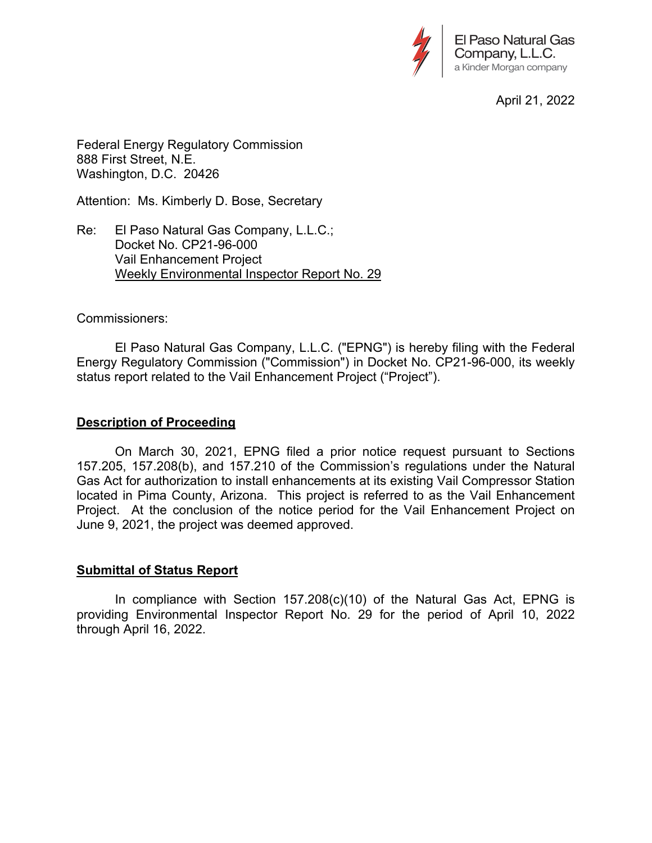

April 21, 2022

Federal Energy Regulatory Commission 888 First Street, N.E. Washington, D.C. 20426

Attention: Ms. Kimberly D. Bose, Secretary

Re: El Paso Natural Gas Company, L.L.C.; Docket No. CP21-96-000 Vail Enhancement Project Weekly Environmental Inspector Report No. 29

### Commissioners:

 El Paso Natural Gas Company, L.L.C. ("EPNG") is hereby filing with the Federal Energy Regulatory Commission ("Commission") in Docket No. CP21-96-000, its weekly status report related to the Vail Enhancement Project ("Project").

### **Description of Proceeding**

 On March 30, 2021, EPNG filed a prior notice request pursuant to Sections 157.205, 157.208(b), and 157.210 of the Commission's regulations under the Natural Gas Act for authorization to install enhancements at its existing Vail Compressor Station located in Pima County, Arizona. This project is referred to as the Vail Enhancement Project. At the conclusion of the notice period for the Vail Enhancement Project on June 9, 2021, the project was deemed approved.

### **Submittal of Status Report**

 In compliance with Section 157.208(c)(10) of the Natural Gas Act, EPNG is providing Environmental Inspector Report No. 29 for the period of April 10, 2022 through April 16, 2022.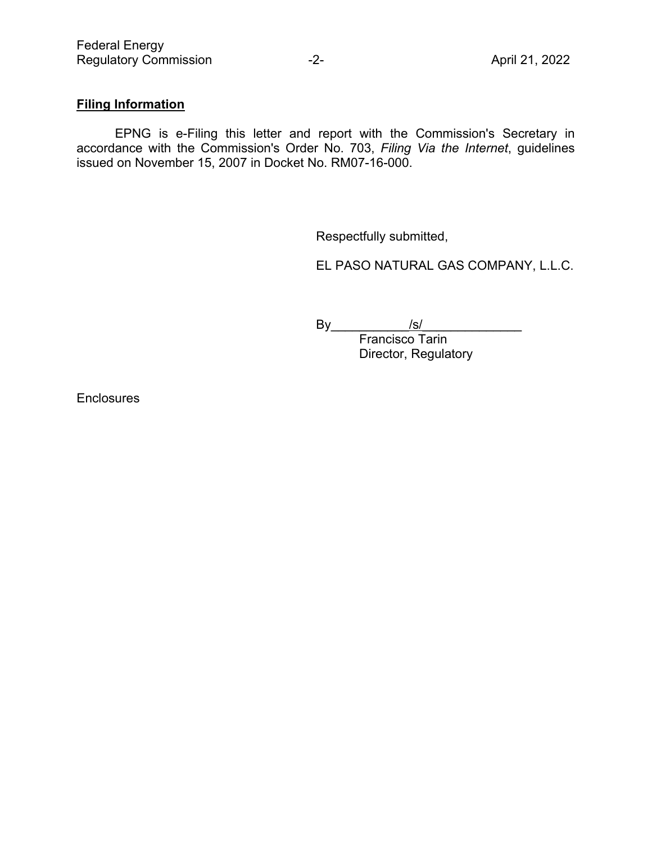# **Filing Information**

 EPNG is e-Filing this letter and report with the Commission's Secretary in accordance with the Commission's Order No. 703, *Filing Via the Internet*, guidelines issued on November 15, 2007 in Docket No. RM07-16-000.

Respectfully submitted,

EL PASO NATURAL GAS COMPANY, L.L.C.

By\_\_\_\_\_\_\_\_\_\_\_/s/\_\_\_\_\_\_\_\_\_\_\_\_\_\_

Francisco Tarin Director, Regulatory

**Enclosures**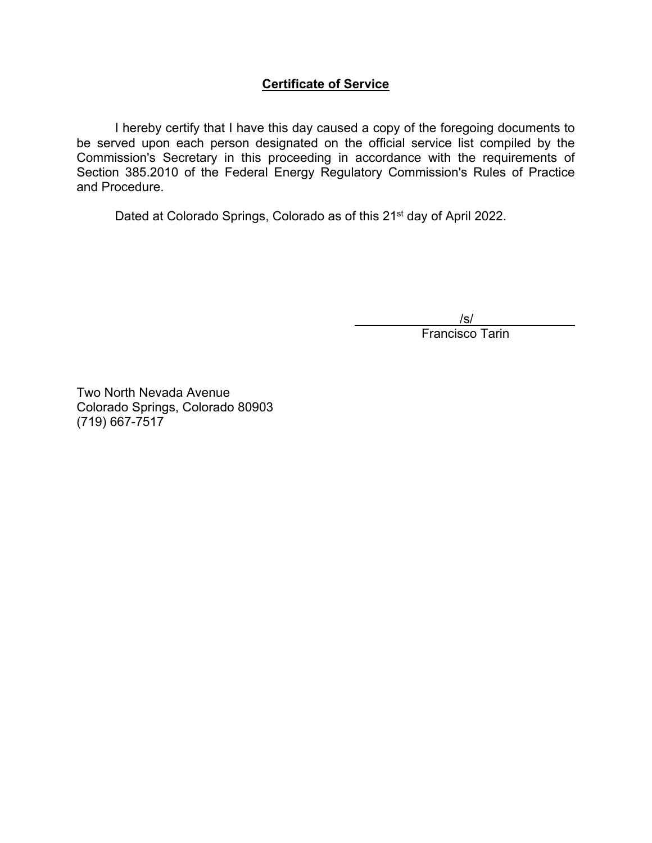## **Certificate of Service**

 I hereby certify that I have this day caused a copy of the foregoing documents to be served upon each person designated on the official service list compiled by the Commission's Secretary in this proceeding in accordance with the requirements of Section 385.2010 of the Federal Energy Regulatory Commission's Rules of Practice and Procedure.

Dated at Colorado Springs, Colorado as of this 21<sup>st</sup> day of April 2022.

/s/

Francisco Tarin

Two North Nevada Avenue Colorado Springs, Colorado 80903 (719) 667-7517